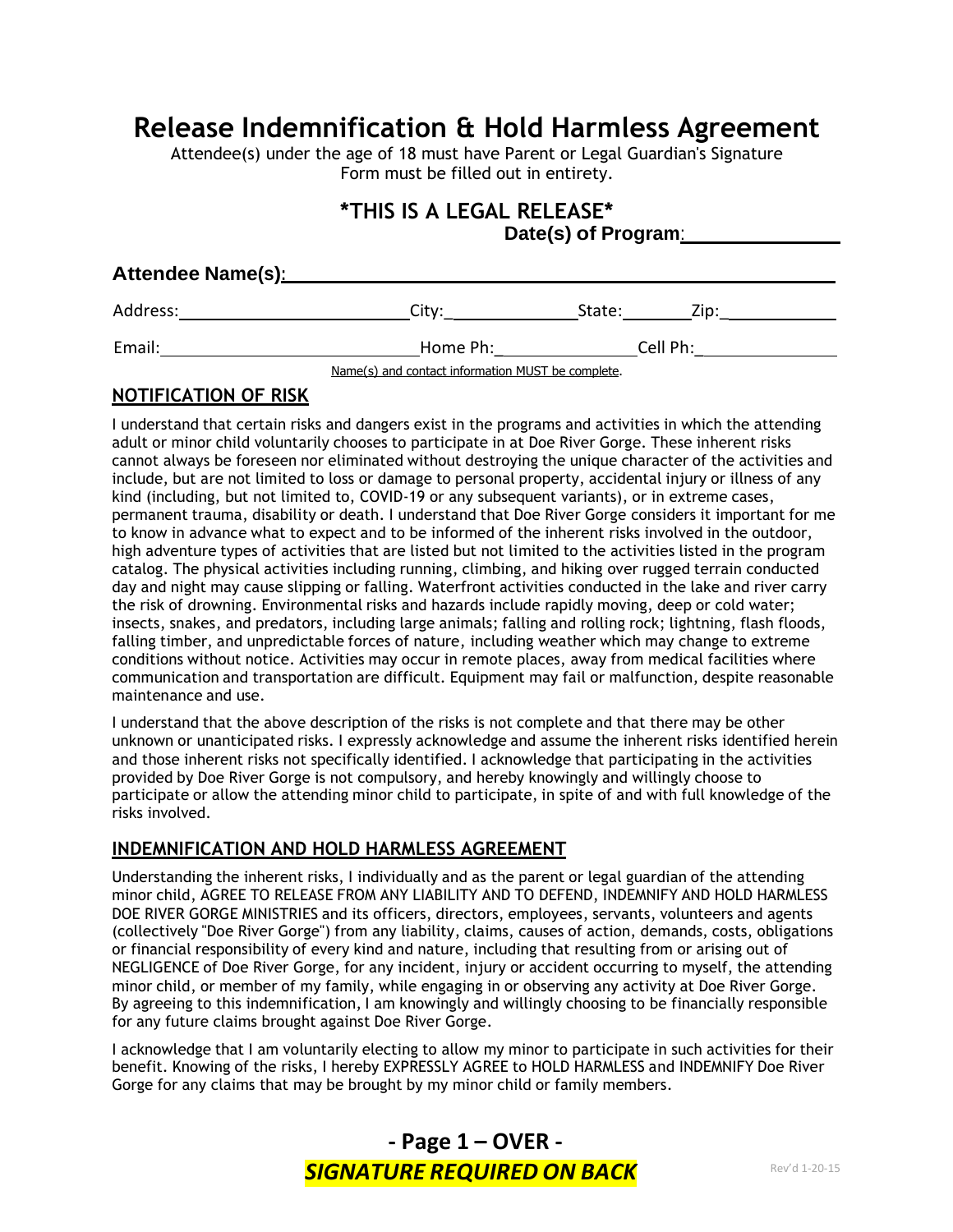# **Release Indemnification & Hold Harmless Agreement**

Attendee(s) under the age of 18 must have Parent or Legal Guardian's Signature Form must be filled out in entirety.

## **\*THIS IS A LEGAL RELEASE\* Date(s) of Program**:

| Attendee Name(s): |                                                   |          |      |  |
|-------------------|---------------------------------------------------|----------|------|--|
| Address:          | City:                                             | State:   | Zip: |  |
| Email:            | Home Ph:                                          | Cell Ph: |      |  |
|                   | Name(s) and contact information MUST be complete. |          |      |  |

## **NOTIFICATION OF RISK**

I understand that certain risks and dangers exist in the programs and activities in which the attending adult or minor child voluntarily chooses to participate in at Doe River Gorge. These inherent risks cannot always be foreseen nor eliminated without destroying the unique character of the activities and include, but are not limited to loss or damage to personal property, accidental injury or illness of any kind (including, but not limited to, COVID-19 or any subsequent variants), or in extreme cases, permanent trauma, disability or death. I understand that Doe River Gorge considers it important for me to know in advance what to expect and to be informed of the inherent risks involved in the outdoor, high adventure types of activities that are listed but not limited to the activities listed in the program catalog. The physical activities including running, climbing, and hiking over rugged terrain conducted day and night may cause slipping or falling. Waterfront activities conducted in the lake and river carry the risk of drowning. Environmental risks and hazards include rapidly moving, deep or cold water; insects, snakes, and predators, including large animals; falling and rolling rock; lightning, flash floods, falling timber, and unpredictable forces of nature, including weather which may change to extreme conditions without notice. Activities may occur in remote places, away from medical facilities where communication and transportation are difficult. Equipment may fail or malfunction, despite reasonable maintenance and use.

I understand that the above description of the risks is not complete and that there may be other unknown or unanticipated risks. I expressly acknowledge and assume the inherent risks identified herein and those inherent risks not specifically identified. I acknowledge that participating in the activities provided by Doe River Gorge is not compulsory, and hereby knowingly and willingly choose to participate or allow the attending minor child to participate, in spite of and with full knowledge of the risks involved.

#### **INDEMNIFICATION AND HOLD HARMLESS AGREEMENT**

Understanding the inherent risks, I individually and as the parent or legal guardian of the attending minor child, AGREE TO RELEASE FROM ANY LIABILITY AND TO DEFEND, INDEMNIFY AND HOLD HARMLESS DOE RIVER GORGE MINISTRIES and its officers, directors, employees, servants, volunteers and agents (collectively "Doe River Gorge") from any liability, claims, causes of action, demands, costs, obligations or financial responsibility of every kind and nature, including that resulting from or arising out of NEGLIGENCE of Doe River Gorge, for any incident, injury or accident occurring to myself, the attending minor child, or member of my family, while engaging in or observing any activity at Doe River Gorge. By agreeing to this indemnification, I am knowingly and willingly choosing to be financially responsible for any future claims brought against Doe River Gorge.

I acknowledge that I am voluntarily electing to allow my minor to participate in such activities for their benefit. Knowing of the risks, I hereby EXPRESSLY AGREE to HOLD HARMLESS and INDEMNIFY Doe River Gorge for any claims that may be brought by my minor child or family members.